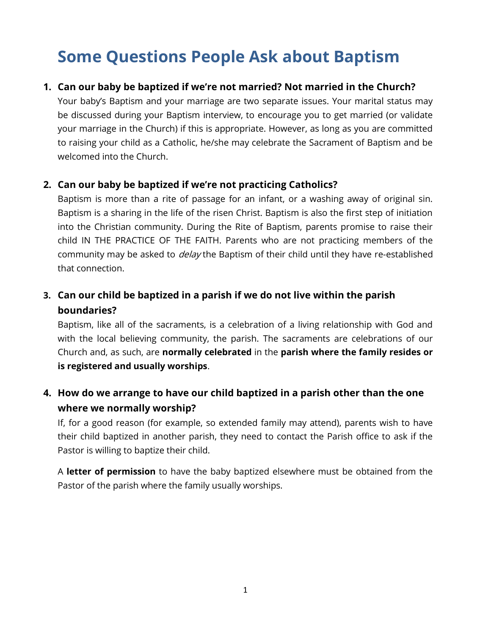# **Some Questions People Ask about Baptism**

## **1. Can our baby be baptized if we're not married? Not married in the Church?**

Your baby's Baptism and your marriage are two separate issues. Your marital status may be discussed during your Baptism interview, to encourage you to get married (or validate your marriage in the Church) if this is appropriate. However, as long as you are committed to raising your child as a Catholic, he/she may celebrate the Sacrament of Baptism and be welcomed into the Church.

## **2. Can our baby be baptized if we're not practicing Catholics?**

Baptism is more than a rite of passage for an infant, or a washing away of original sin. Baptism is a sharing in the life of the risen Christ. Baptism is also the first step of initiation into the Christian community. During the Rite of Baptism, parents promise to raise their child IN THE PRACTICE OF THE FAITH. Parents who are not practicing members of the community may be asked to *delay* the Baptism of their child until they have re-established that connection.

# **3. Can our child be baptized in a parish if we do not live within the parish boundaries?**

Baptism, like all of the sacraments, is a celebration of a living relationship with God and with the local believing community, the parish. The sacraments are celebrations of our Church and, as such, are **normally celebrated** in the **parish where the family resides or is registered and usually worships**.

# **4. How do we arrange to have our child baptized in a parish other than the one where we normally worship?**

If, for a good reason (for example, so extended family may attend), parents wish to have their child baptized in another parish, they need to contact the Parish office to ask if the Pastor is willing to baptize their child.

A **letter of permission** to have the baby baptized elsewhere must be obtained from the Pastor of the parish where the family usually worships.